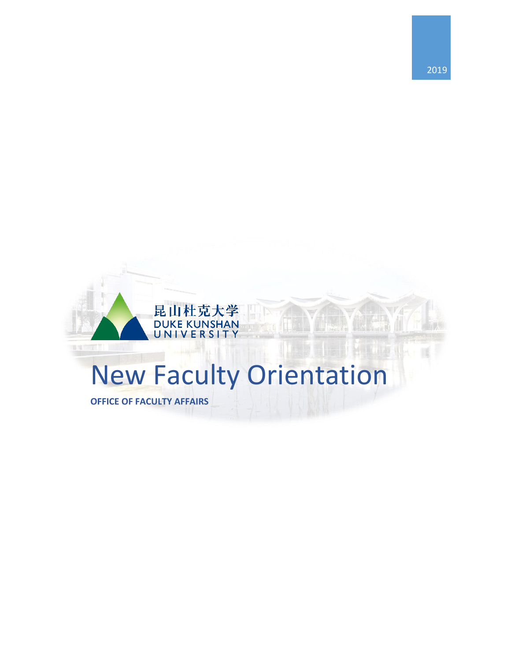

## New Faculty Orientation

**OFFICE OF FACULTY AFFAIRS**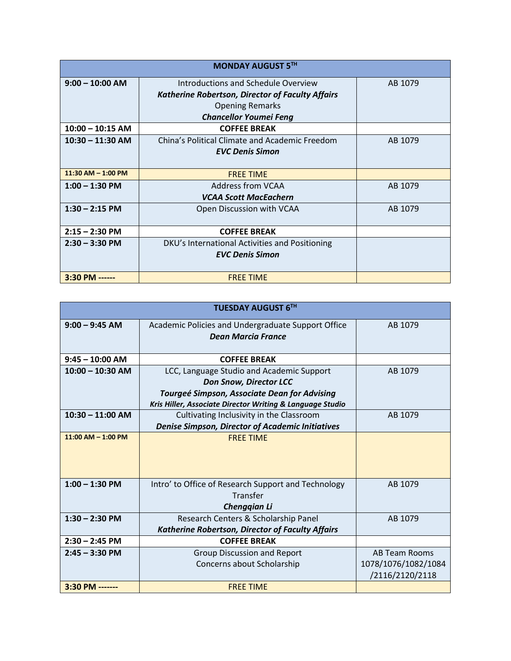| <b>MONDAY AUGUST 5TH</b> |                                                                                                                                                           |         |  |
|--------------------------|-----------------------------------------------------------------------------------------------------------------------------------------------------------|---------|--|
| $9:00 - 10:00$ AM        | Introductions and Schedule Overview<br><b>Katherine Robertson, Director of Faculty Affairs</b><br><b>Opening Remarks</b><br><b>Chancellor Youmei Feng</b> | AB 1079 |  |
| $10:00 - 10:15$ AM       | <b>COFFEE BREAK</b>                                                                                                                                       |         |  |
| $10:30 - 11:30$ AM       | China's Political Climate and Academic Freedom<br><b>EVC Denis Simon</b>                                                                                  | AB 1079 |  |
| $11:30$ AM $- 1:00$ PM   | <b>FREE TIME</b>                                                                                                                                          |         |  |
| $1:00 - 1:30$ PM         | Address from VCAA<br><b>VCAA Scott MacEachern</b>                                                                                                         | AB 1079 |  |
| $1:30 - 2:15$ PM         | Open Discussion with VCAA                                                                                                                                 | AB 1079 |  |
| $2:15 - 2:30$ PM         | <b>COFFEE BREAK</b>                                                                                                                                       |         |  |
| $2:30 - 3:30$ PM         | DKU's International Activities and Positioning<br><b>EVC Denis Simon</b>                                                                                  |         |  |
| 3:30 PM ------           | <b>FREE TIME</b>                                                                                                                                          |         |  |

| <b>TUESDAY AUGUST 6TH</b> |                                                                                 |                      |  |
|---------------------------|---------------------------------------------------------------------------------|----------------------|--|
| $9:00 - 9:45$ AM          | Academic Policies and Undergraduate Support Office<br><b>Dean Marcia France</b> | AB 1079              |  |
| $9:45 - 10:00$ AM         | <b>COFFEE BREAK</b>                                                             |                      |  |
| $10:00 - 10:30$ AM        | LCC, Language Studio and Academic Support                                       | AB 1079              |  |
|                           | <b>Don Snow, Director LCC</b>                                                   |                      |  |
|                           | Tourgeé Simpson, Associate Dean for Advising                                    |                      |  |
|                           | Kris Hiller, Associate Director Writing & Language Studio                       |                      |  |
| $10:30 - 11:00$ AM        | Cultivating Inclusivity in the Classroom                                        | AB 1079              |  |
|                           | <b>Denise Simpson, Director of Academic Initiatives</b>                         |                      |  |
| $11:00$ AM $- 1:00$ PM    | <b>FREE TIME</b>                                                                |                      |  |
| $1:00 - 1:30$ PM          | Intro' to Office of Research Support and Technology<br>Transfer<br>Chenggian Li | AB 1079              |  |
| $1:30 - 2:30$ PM          | Research Centers & Scholarship Panel                                            | AB 1079              |  |
|                           | Katherine Robertson, Director of Faculty Affairs                                |                      |  |
| $2:30 - 2:45$ PM          | <b>COFFEE BREAK</b>                                                             |                      |  |
| $2:45 - 3:30$ PM          | <b>Group Discussion and Report</b>                                              | <b>AB Team Rooms</b> |  |
|                           | Concerns about Scholarship                                                      | 1078/1076/1082/1084  |  |
|                           |                                                                                 | /2116/2120/2118      |  |
| 3:30 PM -------           | <b>FREE TIME</b>                                                                |                      |  |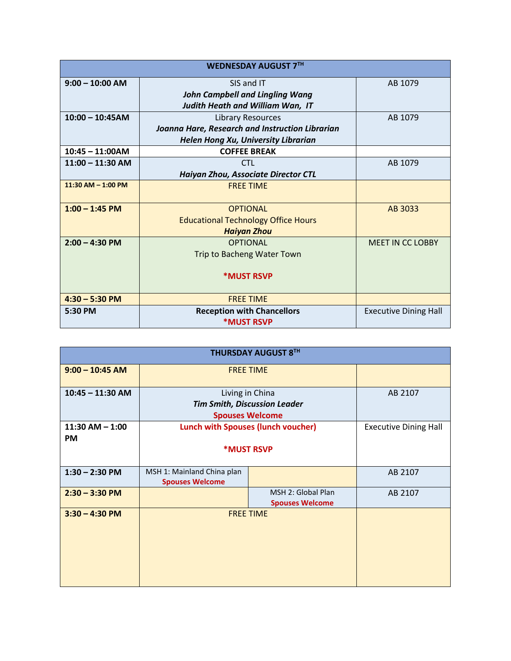| <b>WEDNESDAY AUGUST 7TH</b> |                                                 |                              |  |
|-----------------------------|-------------------------------------------------|------------------------------|--|
| $9:00 - 10:00$ AM           | SIS and IT                                      | AB 1079                      |  |
|                             | <b>John Campbell and Lingling Wang</b>          |                              |  |
|                             | Judith Heath and William Wan, IT                |                              |  |
| $10:00 - 10:45AM$           | Library Resources                               | AB 1079                      |  |
|                             | Joanna Hare, Research and Instruction Librarian |                              |  |
|                             | Helen Hong Xu, University Librarian             |                              |  |
| $10:45 - 11:00AM$           | <b>COFFEE BREAK</b>                             |                              |  |
| $11:00 - 11:30$ AM          | <b>CTL</b>                                      | AB 1079                      |  |
|                             | Haiyan Zhou, Associate Director CTL             |                              |  |
| $11:30$ AM $- 1:00$ PM      | <b>FREE TIME</b>                                |                              |  |
|                             |                                                 |                              |  |
| $1:00 - 1:45$ PM            | <b>OPTIONAL</b>                                 | AB 3033                      |  |
|                             | <b>Educational Technology Office Hours</b>      |                              |  |
|                             | <b>Haiyan Zhou</b>                              |                              |  |
| $2:00 - 4:30$ PM            | <b>OPTIONAL</b>                                 | <b>MEET IN CC LOBBY</b>      |  |
|                             | Trip to Bacheng Water Town                      |                              |  |
|                             |                                                 |                              |  |
|                             | <b>*MUST RSVP</b>                               |                              |  |
|                             |                                                 |                              |  |
| $4:30 - 5:30$ PM            | <b>FREE TIME</b>                                |                              |  |
| 5:30 PM                     | <b>Reception with Chancellors</b>               | <b>Executive Dining Hall</b> |  |
|                             | <b>*MUST RSVP</b>                               |                              |  |

| <b>THURSDAY AUGUST 8TH</b>       |                                                                                  |                                              |                              |  |  |
|----------------------------------|----------------------------------------------------------------------------------|----------------------------------------------|------------------------------|--|--|
| $9:00 - 10:45$ AM                | <b>FREE TIME</b>                                                                 |                                              |                              |  |  |
| $10:45 - 11:30$ AM               | Living in China<br><b>Tim Smith, Discussion Leader</b><br><b>Spouses Welcome</b> |                                              | AB 2107                      |  |  |
| $11:30$ AM $- 1:00$<br><b>PM</b> | <b>Lunch with Spouses (lunch voucher)</b><br><b>*MUST RSVP</b>                   |                                              | <b>Executive Dining Hall</b> |  |  |
| $1:30 - 2:30$ PM                 | MSH 1: Mainland China plan<br><b>Spouses Welcome</b>                             |                                              | AB 2107                      |  |  |
| $2:30 - 3:30 P M$                |                                                                                  | MSH 2: Global Plan<br><b>Spouses Welcome</b> | AB 2107                      |  |  |
| $3:30 - 4:30$ PM                 |                                                                                  | <b>FREE TIME</b>                             |                              |  |  |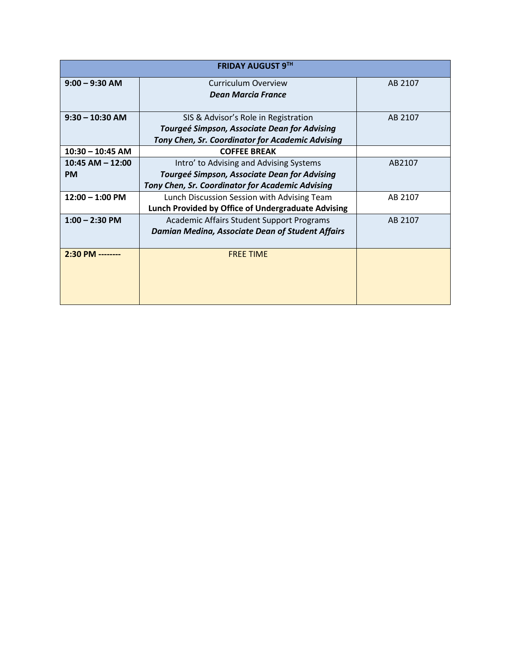| <b>FRIDAY AUGUST 9TH</b> |                                                    |         |  |
|--------------------------|----------------------------------------------------|---------|--|
| $9:00 - 9:30$ AM         | <b>Curriculum Overview</b>                         | AB 2107 |  |
|                          | <b>Dean Marcia France</b>                          |         |  |
| $9:30 - 10:30$ AM        | SIS & Advisor's Role in Registration               | AB 2107 |  |
|                          | Tourgeé Simpson, Associate Dean for Advising       |         |  |
|                          | Tony Chen, Sr. Coordinator for Academic Advising   |         |  |
| $10:30 - 10:45$ AM       | <b>COFFEE BREAK</b>                                |         |  |
| $10:45$ AM $- 12:00$     | Intro' to Advising and Advising Systems            | AB2107  |  |
| <b>PM</b>                | Tourgeé Simpson, Associate Dean for Advising       |         |  |
|                          | Tony Chen, Sr. Coordinator for Academic Advising   |         |  |
| $12:00 - 1:00$ PM        | Lunch Discussion Session with Advising Team        | AB 2107 |  |
|                          | Lunch Provided by Office of Undergraduate Advising |         |  |
| $1:00 - 2:30$ PM         | <b>Academic Affairs Student Support Programs</b>   | AB 2107 |  |
|                          | Damian Medina, Associate Dean of Student Affairs   |         |  |
|                          |                                                    |         |  |
| 2:30 PM --------         | <b>FREE TIME</b>                                   |         |  |
|                          |                                                    |         |  |
|                          |                                                    |         |  |
|                          |                                                    |         |  |
|                          |                                                    |         |  |